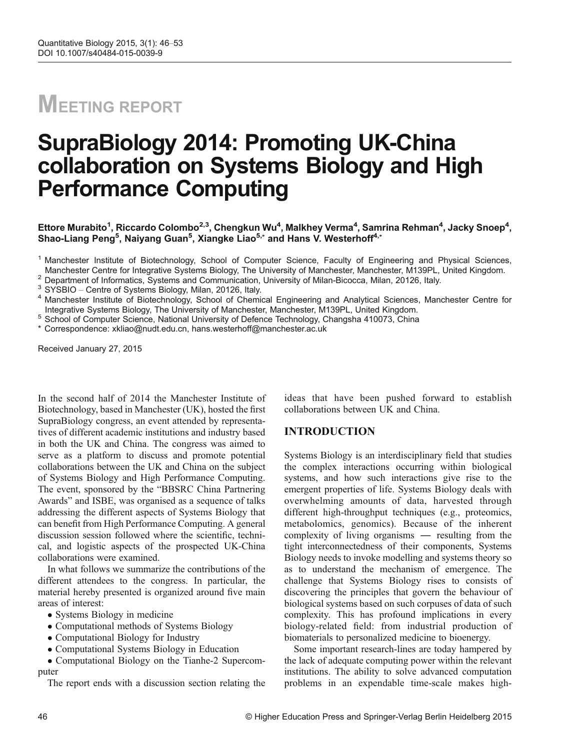# MEETING REPORT

## SupraBiology 2014: Promoting UK-China collaboration on Systems Biology and High Performance Computing

Ettore Murabito<sup>1</sup>, Riccardo Colombo<sup>2,3</sup>, Chengkun Wu<sup>4</sup>, Malkhey Verma<sup>4</sup>, Samrina Rehman<sup>4</sup>, Jacky Snoep<sup>4</sup>, Shao-Liang Peng<sup>5</sup>, Naiyang Guan<sup>5</sup>, Xiangke Liao<sup>5,</sup>\* and Hans V. Westerhoff<sup>4,</sup>\*

2 Department of Informatics, Systems and Communication, University of Milan-Bicocca, Milan, 20126, Italy.<br>
<sup>2</sup> Department of Informatics, Systems and Communication, University of Milan-Bicocca, Milan, 20126, Italy.<br>
<sup>3</sup> SY

Integrative Bylin, Manchester, Mational University of Defence Technology, Changsha 410073, China

\* Correspondence: xkliao@nudt.edu.cn, hans.westerhoff@manchester.ac.uk

Received January 27, 2015;

In the second half of 2014 the Manchester Institute of Biotechnology, based in Manchester (UK), hosted the first SupraBiology congress, an event attended by representatives of different academic institutions and industry based in both the UK and China. The congress was aimed to serve as a platform to discuss and promote potential collaborations between the UK and China on the subject of Systems Biology and High Performance Computing. The event, sponsored by the "BBSRC China Partnering Awards" and ISBE, was organised as a sequence of talks addressing the different aspects of Systems Biology that can benefit from High Performance Computing. A general discussion session followed where the scientific, technical, and logistic aspects of the prospected UK-China collaborations were examined.

In what follows we summarize the contributions of the different attendees to the congress. In particular, the material hereby presented is organized around five main areas of interest:

• Systems Biology in medicine

- Computational methods of Systems Biology
- Computational Biology for Industry
- Computational Systems Biology in Education

 Computational Biology on the Tianhe-2 Supercomputer

The report ends with a discussion section relating the

ideas that have been pushed forward to establish collaborations between UK and China.

#### INTRODUCTION

Systems Biology is an interdisciplinary field that studies the complex interactions occurring within biological systems, and how such interactions give rise to the emergent properties of life. Systems Biology deals with overwhelming amounts of data, harvested through different high-throughput techniques (e.g., proteomics, metabolomics, genomics). Because of the inherent complexity of living organisms — resulting from the tight interconnectedness of their components, Systems Biology needs to invoke modelling and systems theory so as to understand the mechanism of emergence. The challenge that Systems Biology rises to consists of discovering the principles that govern the behaviour of biological systems based on such corpuses of data of such complexity. This has profound implications in every biology-related field: from industrial production of biomaterials to personalized medicine to bioenergy.

Some important research-lines are today hampered by the lack of adequate computing power within the relevant institutions. The ability to solve advanced computation problems in an expendable time-scale makes high-

<sup>&</sup>lt;sup>1</sup> Manchester Institute of Biotechnology, School of Computer Science, Faculty of Engineering and Physical Sciences,<br>Manchester Centre for Integrative Systems Biology, The University of Manchester, Manchester, M139PL, Unit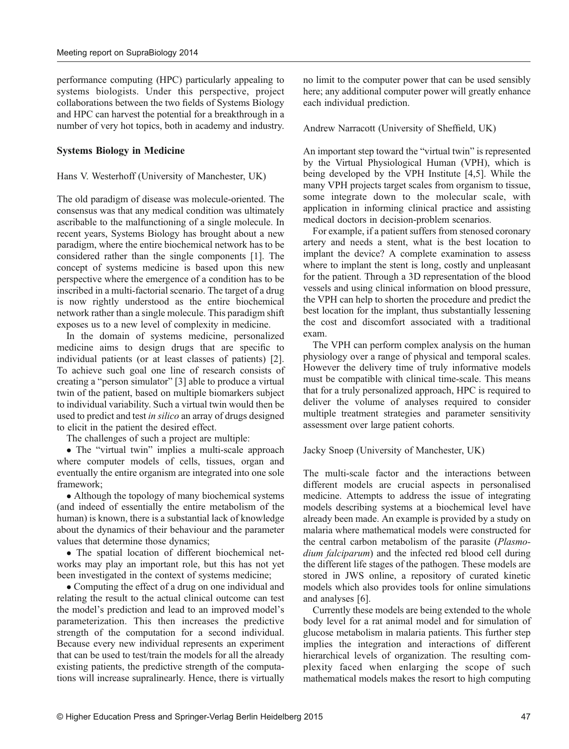performance computing (HPC) particularly appealing to systems biologists. Under this perspective, project collaborations between the two fields of Systems Biology and HPC can harvest the potential for a breakthrough in a number of very hot topics, both in academy and industry.

#### Systems Biology in Medicine

#### Hans V. Westerhoff (University of Manchester, UK)

The old paradigm of disease was molecule-oriented. The consensus was that any medical condition was ultimately ascribable to the malfunctioning of a single molecule. In recent years, Systems Biology has brought about a new paradigm, where the entire biochemical network has to be considered rather than the single components [[1\]](#page-6-0). The concept of systems medicine is based upon this new perspective where the emergence of a condition has to be inscribed in a multi-factorial scenario. The target of a drug is now rightly understood as the entire biochemical network rather than a single molecule. This paradigm shift exposes us to a new level of complexity in medicine.

In the domain of systems medicine, personalized medicine aims to design drugs that are specific to individual patients (or at least classes of patients) [\[2\]](#page-6-0). To achieve such goal one line of research consists of creating a "person simulator" [\[3\]](#page-6-0) able to produce a virtual twin of the patient, based on multiple biomarkers subject to individual variability. Such a virtual twin would then be used to predict and test in silico an array of drugs designed to elicit in the patient the desired effect.

The challenges of such a project are multiple:

 The "virtual twin" implies a multi-scale approach where computer models of cells, tissues, organ and eventually the entire organism are integrated into one sole framework;

 Although the topology of many biochemical systems (and indeed of essentially the entire metabolism of the human) is known, there is a substantial lack of knowledge about the dynamics of their behaviour and the parameter values that determine those dynamics;

 The spatial location of different biochemical networks may play an important role, but this has not yet been investigated in the context of systems medicine;

 Computing the effect of a drug on one individual and relating the result to the actual clinical outcome can test the model's prediction and lead to an improved model's parameterization. This then increases the predictive strength of the computation for a second individual. Because every new individual represents an experiment that can be used to test/train the models for all the already existing patients, the predictive strength of the computations will increase supralinearly. Hence, there is virtually

no limit to the computer power that can be used sensibly here; any additional computer power will greatly enhance each individual prediction.

Andrew Narracott (University of Sheffield, UK)

An important step toward the "virtual twin" is represented by the Virtual Physiological Human (VPH), which is being developed by the VPH Institute [[4](#page-6-0),[5](#page-6-0)]. While the many VPH projects target scales from organism to tissue, some integrate down to the molecular scale, with application in informing clinical practice and assisting medical doctors in decision-problem scenarios.

For example, if a patient suffers from stenosed coronary artery and needs a stent, what is the best location to implant the device? A complete examination to assess where to implant the stent is long, costly and unpleasant for the patient. Through a 3D representation of the blood vessels and using clinical information on blood pressure, the VPH can help to shorten the procedure and predict the best location for the implant, thus substantially lessening the cost and discomfort associated with a traditional exam.

The VPH can perform complex analysis on the human physiology over a range of physical and temporal scales. However the delivery time of truly informative models must be compatible with clinical time-scale. This means that for a truly personalized approach, HPC is required to deliver the volume of analyses required to consider multiple treatment strategies and parameter sensitivity assessment over large patient cohorts.

Jacky Snoep (University of Manchester, UK)

The multi-scale factor and the interactions between different models are crucial aspects in personalised medicine. Attempts to address the issue of integrating models describing systems at a biochemical level have already been made. An example is provided by a study on malaria where mathematical models were constructed for the central carbon metabolism of the parasite (Plasmodium falciparum) and the infected red blood cell during the different life stages of the pathogen. These models are stored in JWS online, a repository of curated kinetic models which also provides tools for online simulations and analyses [\[6](#page-6-0)].

Currently these models are being extended to the whole body level for a rat animal model and for simulation of glucose metabolism in malaria patients. This further step implies the integration and interactions of different hierarchical levels of organization. The resulting complexity faced when enlarging the scope of such mathematical models makes the resort to high computing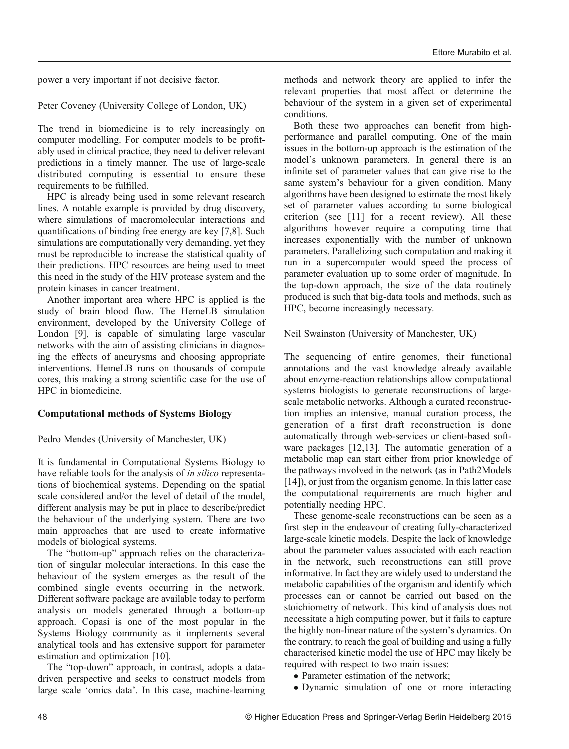power a very important if not decisive factor.

Peter Coveney (University College of London, UK)

The trend in biomedicine is to rely increasingly on computer modelling. For computer models to be profitably used in clinical practice, they need to deliver relevant predictions in a timely manner. The use of large-scale distributed computing is essential to ensure these requirements to be fulfilled.

HPC is already being used in some relevant research lines. A notable example is provided by drug discovery, where simulations of macromolecular interactions and quantifications of binding free energy are key [\[7,8](#page-6-0)]. Such simulations are computationally very demanding, yet they must be reproducible to increase the statistical quality of their predictions. HPC resources are being used to meet this need in the study of the HIV protease system and the protein kinases in cancer treatment.

Another important area where HPC is applied is the study of brain blood flow. The HemeLB simulation environment, developed by the University College of London [[9](#page-6-0)], is capable of simulating large vascular networks with the aim of assisting clinicians in diagnosing the effects of aneurysms and choosing appropriate interventions. HemeLB runs on thousands of compute cores, this making a strong scientific case for the use of HPC in biomedicine.

## Computational methods of Systems Biology

Pedro Mendes (University of Manchester, UK)

It is fundamental in Computational Systems Biology to have reliable tools for the analysis of in silico representations of biochemical systems. Depending on the spatial scale considered and/or the level of detail of the model, different analysis may be put in place to describe/predict the behaviour of the underlying system. There are two main approaches that are used to create informative models of biological systems.

The "bottom-up" approach relies on the characterization of singular molecular interactions. In this case the behaviour of the system emerges as the result of the combined single events occurring in the network. Different software package are available today to perform analysis on models generated through a bottom-up approach. Copasi is one of the most popular in the Systems Biology community as it implements several analytical tools and has extensive support for parameter estimation and optimization [[10](#page-6-0)].

The "top-down" approach, in contrast, adopts a datadriven perspective and seeks to construct models from large scale 'omics data'. In this case, machine-learning methods and network theory are applied to infer the relevant properties that most affect or determine the behaviour of the system in a given set of experimental conditions.

Both these two approaches can benefit from highperformance and parallel computing. One of the main issues in the bottom-up approach is the estimation of the model's unknown parameters. In general there is an infinite set of parameter values that can give rise to the same system's behaviour for a given condition. Many algorithms have been designed to estimate the most likely set of parameter values according to some biological criterion (see [[11](#page-6-0)] for a recent review). All these algorithms however require a computing time that increases exponentially with the number of unknown parameters. Parallelizing such computation and making it run in a supercomputer would speed the process of parameter evaluation up to some order of magnitude. In the top-down approach, the size of the data routinely produced is such that big-data tools and methods, such as HPC, become increasingly necessary.

#### Neil Swainston (University of Manchester, UK)

The sequencing of entire genomes, their functional annotations and the vast knowledge already available about enzyme-reaction relationships allow computational systems biologists to generate reconstructions of largescale metabolic networks. Although a curated reconstruction implies an intensive, manual curation process, the generation of a first draft reconstruction is done automatically through web-services or client-based software packages [[12](#page-6-0),[13](#page-6-0)]. The automatic generation of a metabolic map can start either from prior knowledge of the pathways involved in the network (as in Path2Models [\[14](#page-6-0)]), or just from the organism genome. In this latter case the computational requirements are much higher and potentially needing HPC.

These genome-scale reconstructions can be seen as a first step in the endeavour of creating fully-characterized large-scale kinetic models. Despite the lack of knowledge about the parameter values associated with each reaction in the network, such reconstructions can still prove informative. In fact they are widely used to understand the metabolic capabilities of the organism and identify which processes can or cannot be carried out based on the stoichiometry of network. This kind of analysis does not necessitate a high computing power, but it fails to capture the highly non-linear nature of the system's dynamics. On the contrary, to reach the goal of building and using a fully characterised kinetic model the use of HPC may likely be required with respect to two main issues:

- Parameter estimation of the network;
- Dynamic simulation of one or more interacting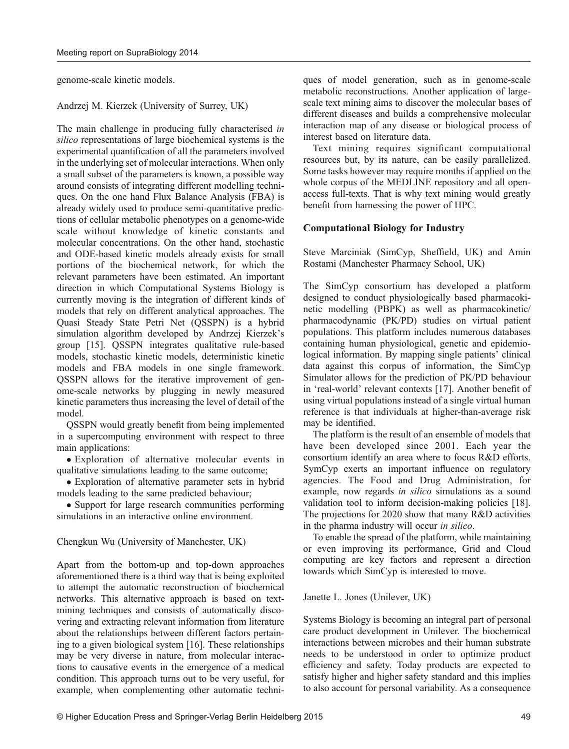genome-scale kinetic models.

Andrzej M. Kierzek (University of Surrey, UK)

The main challenge in producing fully characterised in silico representations of large biochemical systems is the experimental quantification of all the parameters involved in the underlying set of molecular interactions. When only a small subset of the parameters is known, a possible way around consists of integrating different modelling techniques. On the one hand Flux Balance Analysis (FBA) is already widely used to produce semi-quantitative predictions of cellular metabolic phenotypes on a genome-wide scale without knowledge of kinetic constants and molecular concentrations. On the other hand, stochastic and ODE-based kinetic models already exists for small portions of the biochemical network, for which the relevant parameters have been estimated. An important direction in which Computational Systems Biology is currently moving is the integration of different kinds of models that rely on different analytical approaches. The Quasi Steady State Petri Net (QSSPN) is a hybrid simulation algorithm developed by Andrzej Kierzek's group [\[15\]](#page-6-0). QSSPN integrates qualitative rule-based models, stochastic kinetic models, deterministic kinetic models and FBA models in one single framework. QSSPN allows for the iterative improvement of genome-scale networks by plugging in newly measured kinetic parameters thus increasing the level of detail of the model.

QSSPN would greatly benefit from being implemented in a supercomputing environment with respect to three main applications:

 Exploration of alternative molecular events in qualitative simulations leading to the same outcome;

 Exploration of alternative parameter sets in hybrid models leading to the same predicted behaviour;

• Support for large research communities performing simulations in an interactive online environment.

#### Chengkun Wu (University of Manchester, UK)

Apart from the bottom-up and top-down approaches aforementioned there is a third way that is being exploited to attempt the automatic reconstruction of biochemical networks. This alternative approach is based on textmining techniques and consists of automatically discovering and extracting relevant information from literature about the relationships between different factors pertaining to a given biological system [\[16\]](#page-6-0). These relationships may be very diverse in nature, from molecular interactions to causative events in the emergence of a medical condition. This approach turns out to be very useful, for example, when complementing other automatic techniques of model generation, such as in genome-scale metabolic reconstructions. Another application of largescale text mining aims to discover the molecular bases of different diseases and builds a comprehensive molecular interaction map of any disease or biological process of interest based on literature data.

Text mining requires significant computational resources but, by its nature, can be easily parallelized. Some tasks however may require months if applied on the whole corpus of the MEDLINE repository and all openaccess full-texts. That is why text mining would greatly benefit from harnessing the power of HPC.

#### Computational Biology for Industry

Steve Marciniak (SimCyp, Sheffield, UK) and Amin Rostami (Manchester Pharmacy School, UK)

The SimCyp consortium has developed a platform designed to conduct physiologically based pharmacokinetic modelling (PBPK) as well as pharmacokinetic/ pharmacodynamic (PK/PD) studies on virtual patient populations. This platform includes numerous databases containing human physiological, genetic and epidemiological information. By mapping single patients' clinical data against this corpus of information, the SimCyp Simulator allows for the prediction of PK/PD behaviour in 'real-world' relevant contexts [[17](#page-7-0)]. Another benefit of using virtual populations instead of a single virtual human reference is that individuals at higher-than-average risk may be identified.

The platform is the result of an ensemble of models that have been developed since 2001. Each year the consortium identify an area where to focus R&D efforts. SymCyp exerts an important influence on regulatory agencies. The Food and Drug Administration, for example, now regards *in silico* simulations as a sound validation tool to inform decision-making policies [\[18\]](#page-7-0). The projections for 2020 show that many R&D activities in the pharma industry will occur in silico.

To enable the spread of the platform, while maintaining or even improving its performance, Grid and Cloud computing are key factors and represent a direction towards which SimCyp is interested to move.

#### Janette L. Jones (Unilever, UK)

Systems Biology is becoming an integral part of personal care product development in Unilever. The biochemical interactions between microbes and their human substrate needs to be understood in order to optimize product efficiency and safety. Today products are expected to satisfy higher and higher safety standard and this implies to also account for personal variability. As a consequence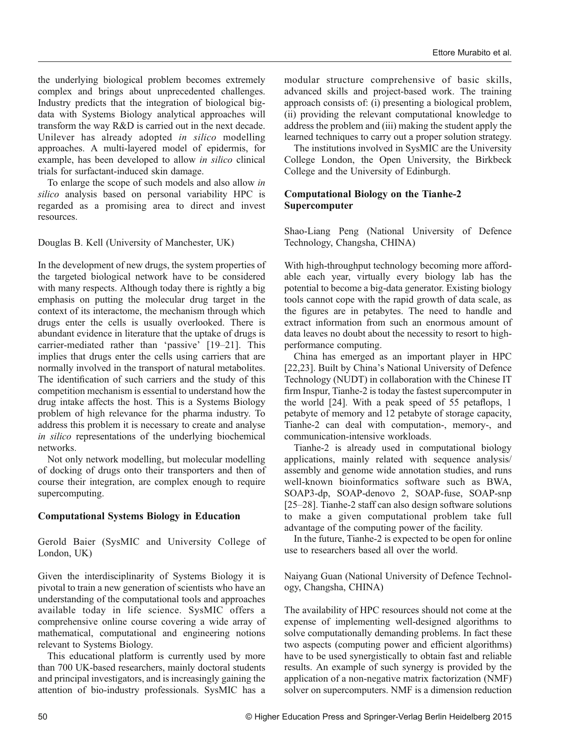the underlying biological problem becomes extremely complex and brings about unprecedented challenges. Industry predicts that the integration of biological bigdata with Systems Biology analytical approaches will transform the way R&D is carried out in the next decade. Unilever has already adopted in silico modelling approaches. A multi-layered model of epidermis, for example, has been developed to allow in silico clinical trials for surfactant-induced skin damage.

To enlarge the scope of such models and also allow in silico analysis based on personal variability HPC is regarded as a promising area to direct and invest resources.

Douglas B. Kell (University of Manchester, UK)

In the development of new drugs, the system properties of the targeted biological network have to be considered with many respects. Although today there is rightly a big emphasis on putting the molecular drug target in the context of its interactome, the mechanism through which drugs enter the cells is usually overlooked. There is abundant evidence in literature that the uptake of drugs is carrier-mediated rather than 'passive' [[19](#page-7-0)–[21](#page-7-0)]. This implies that drugs enter the cells using carriers that are normally involved in the transport of natural metabolites. The identification of such carriers and the study of this competition mechanism is essential to understand how the drug intake affects the host. This is a Systems Biology problem of high relevance for the pharma industry. To address this problem it is necessary to create and analyse in silico representations of the underlying biochemical networks.

Not only network modelling, but molecular modelling of docking of drugs onto their transporters and then of course their integration, are complex enough to require supercomputing.

## Computational Systems Biology in Education

Gerold Baier (SysMIC and University College of London, UK)

Given the interdisciplinarity of Systems Biology it is pivotal to train a new generation of scientists who have an understanding of the computational tools and approaches available today in life science. SysMIC offers a comprehensive online course covering a wide array of mathematical, computational and engineering notions relevant to Systems Biology.

This educational platform is currently used by more than 700 UK-based researchers, mainly doctoral students and principal investigators, and is increasingly gaining the attention of bio-industry professionals. SysMIC has a modular structure comprehensive of basic skills, advanced skills and project-based work. The training approach consists of: (i) presenting a biological problem, (ii) providing the relevant computational knowledge to address the problem and (iii) making the student apply the learned techniques to carry out a proper solution strategy.

The institutions involved in SysMIC are the University College London, the Open University, the Birkbeck College and the University of Edinburgh.

## Computational Biology on the Tianhe-2 Supercomputer

Shao-Liang Peng (National University of Defence Technology, Changsha, CHINA)

With high-throughput technology becoming more affordable each year, virtually every biology lab has the potential to become a big-data generator. Existing biology tools cannot cope with the rapid growth of data scale, as the figures are in petabytes. The need to handle and extract information from such an enormous amount of data leaves no doubt about the necessity to resort to highperformance computing.

China has emerged as an important player in HPC [\[22,23\]](#page-7-0). Built by China's National University of Defence Technology (NUDT) in collaboration with the Chinese IT firm Inspur, Tianhe-2 is today the fastest supercomputer in the world [[24](#page-7-0)]. With a peak speed of 55 petaflops, 1 petabyte of memory and 12 petabyte of storage capacity, Tianhe-2 can deal with computation-, memory-, and communication-intensive workloads.

Tianhe-2 is already used in computational biology applications, mainly related with sequence analysis/ assembly and genome wide annotation studies, and runs well-known bioinformatics software such as BWA, SOAP3-dp, SOAP-denovo 2, SOAP-fuse, SOAP-snp [\[25](#page-7-0)–[28](#page-7-0)]. Tianhe-2 staff can also design software solutions to make a given computational problem take full advantage of the computing power of the facility.

In the future, Tianhe-2 is expected to be open for online use to researchers based all over the world.

Naiyang Guan (National University of Defence Technology, Changsha, CHINA)

The availability of HPC resources should not come at the expense of implementing well-designed algorithms to solve computationally demanding problems. In fact these two aspects (computing power and efficient algorithms) have to be used synergistically to obtain fast and reliable results. An example of such synergy is provided by the application of a non-negative matrix factorization (NMF) solver on supercomputers. NMF is a dimension reduction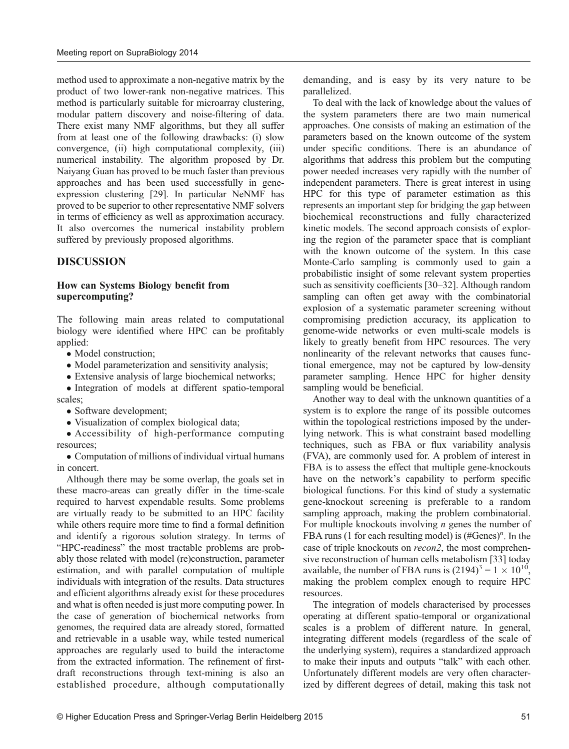method used to approximate a non-negative matrix by the product of two lower-rank non-negative matrices. This method is particularly suitable for microarray clustering, modular pattern discovery and noise-filtering of data. There exist many NMF algorithms, but they all suffer from at least one of the following drawbacks: (i) slow convergence, (ii) high computational complexity, (iii) numerical instability. The algorithm proposed by Dr. Naiyang Guan has proved to be much faster than previous approaches and has been used successfully in geneexpression clustering [\[29\]](#page-7-0). In particular NeNMF has proved to be superior to other representative NMF solvers in terms of efficiency as well as approximation accuracy. It also overcomes the numerical instability problem suffered by previously proposed algorithms.

## DISCUSSION

#### How can Systems Biology benefit from supercomputing?

The following main areas related to computational biology were identified where HPC can be profitably applied:

- Model construction:
- Model parameterization and sensitivity analysis;
- Extensive analysis of large biochemical networks;

• Integration of models at different spatio-temporal scales;

- Software development;
- Visualization of complex biological data;

 Accessibility of high-performance computing resources;

 Computation of millions of individual virtual humans in concert.

Although there may be some overlap, the goals set in these macro-areas can greatly differ in the time-scale required to harvest expendable results. Some problems are virtually ready to be submitted to an HPC facility while others require more time to find a formal definition and identify a rigorous solution strategy. In terms of "HPC-readiness" the most tractable problems are probably those related with model (re)construction, parameter estimation, and with parallel computation of multiple individuals with integration of the results. Data structures and efficient algorithms already exist for these procedures and what is often needed is just more computing power. In the case of generation of biochemical networks from genomes, the required data are already stored, formatted and retrievable in a usable way, while tested numerical approaches are regularly used to build the interactome from the extracted information. The refinement of firstdraft reconstructions through text-mining is also an established procedure, although computationally

demanding, and is easy by its very nature to be parallelized.

To deal with the lack of knowledge about the values of the system parameters there are two main numerical approaches. One consists of making an estimation of the parameters based on the known outcome of the system under specific conditions. There is an abundance of algorithms that address this problem but the computing power needed increases very rapidly with the number of independent parameters. There is great interest in using HPC for this type of parameter estimation as this represents an important step for bridging the gap between biochemical reconstructions and fully characterized kinetic models. The second approach consists of exploring the region of the parameter space that is compliant with the known outcome of the system. In this case Monte-Carlo sampling is commonly used to gain a probabilistic insight of some relevant system properties such as sensitivity coefficients [[30](#page-7-0)–[32\]](#page-7-0). Although random sampling can often get away with the combinatorial explosion of a systematic parameter screening without compromising prediction accuracy, its application to genome-wide networks or even multi-scale models is likely to greatly benefit from HPC resources. The very nonlinearity of the relevant networks that causes functional emergence, may not be captured by low-density parameter sampling. Hence HPC for higher density sampling would be beneficial.

Another way to deal with the unknown quantities of a system is to explore the range of its possible outcomes within the topological restrictions imposed by the underlying network. This is what constraint based modelling techniques, such as FBA or flux variability analysis (FVA), are commonly used for. A problem of interest in FBA is to assess the effect that multiple gene-knockouts have on the network's capability to perform specific biological functions. For this kind of study a systematic gene-knockout screening is preferable to a random sampling approach, making the problem combinatorial. For multiple knockouts involving  $n$  genes the number of FBA runs (1 for each resulting model) is (#Genes)<sup>n</sup>. In the case of triple knockouts on recon2, the most comprehensive reconstruction of human cells metabolism [\[33\]](#page-7-0) today available, the number of FBA runs is  $(2194)^3 = 1 \times 10^{10}$ , making the problem complex enough to require HPC resources.

The integration of models characterised by processes operating at different spatio-temporal or organizational scales is a problem of different nature. In general, integrating different models (regardless of the scale of the underlying system), requires a standardized approach to make their inputs and outputs "talk" with each other. Unfortunately different models are very often characterized by different degrees of detail, making this task not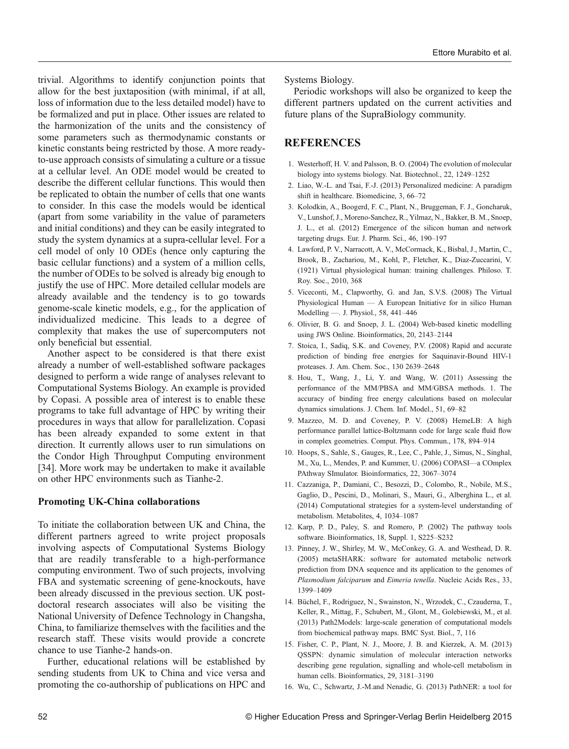<span id="page-6-0"></span>trivial. Algorithms to identify conjunction points that allow for the best juxtaposition (with minimal, if at all, loss of information due to the less detailed model) have to be formalized and put in place. Other issues are related to the harmonization of the units and the consistency of some parameters such as thermodynamic constants or kinetic constants being restricted by those. A more readyto-use approach consists of simulating a culture or a tissue at a cellular level. An ODE model would be created to describe the different cellular functions. This would then be replicated to obtain the number of cells that one wants to consider. In this case the models would be identical (apart from some variability in the value of parameters and initial conditions) and they can be easily integrated to study the system dynamics at a supra-cellular level. For a cell model of only 10 ODEs (hence only capturing the basic cellular functions) and a system of a million cells, the number of ODEs to be solved is already big enough to justify the use of HPC. More detailed cellular models are already available and the tendency is to go towards genome-scale kinetic models, e.g., for the application of individualized medicine. This leads to a degree of complexity that makes the use of supercomputers not only beneficial but essential.

Another aspect to be considered is that there exist already a number of well-established software packages designed to perform a wide range of analyses relevant to Computational Systems Biology. An example is provided by Copasi. A possible area of interest is to enable these programs to take full advantage of HPC by writing their procedures in ways that allow for parallelization. Copasi has been already expanded to some extent in that direction. It currently allows user to run simulations on the Condor High Throughput Computing environment [\[34\]](#page-7-0). More work may be undertaken to make it available on other HPC environments such as Tianhe-2.

#### Promoting UK-China collaborations

To initiate the collaboration between UK and China, the different partners agreed to write project proposals involving aspects of Computational Systems Biology that are readily transferable to a high-performance computing environment. Two of such projects, involving FBA and systematic screening of gene-knockouts, have been already discussed in the previous section. UK postdoctoral research associates will also be visiting the National University of Defence Technology in Changsha, China, to familiarize themselves with the facilities and the research staff. These visits would provide a concrete chance to use Tianhe-2 hands-on.

Further, educational relations will be established by sending students from UK to China and vice versa and promoting the co-authorship of publications on HPC and Systems Biology.

Periodic workshops will also be organized to keep the different partners updated on the current activities and future plans of the SupraBiology community.

## **REFERENCES**

- 1. Westerhoff, H. V. and Palsson, B. O. (2004) The evolution of molecular biology into systems biology. Nat. Biotechnol., 22, 1249–1252
- 2. Liao, W.-L. and Tsai, F.-J. (2013) Personalized medicine: A paradigm shift in healthcare. Biomedicine, 3, 66–72
- 3. Kolodkin, A., Boogerd, F. C., Plant, N., Bruggeman, F. J., Goncharuk, V., Lunshof, J., Moreno-Sanchez, R., Yilmaz, N., Bakker, B. M., Snoep, J. L., et al. (2012) Emergence of the silicon human and network targeting drugs. Eur. J. Pharm. Sci., 46, 190–197
- 4. Lawford, P. V., Narracott, A. V., McCormack, K., Bisbal, J., Martin, C., Brook, B., Zachariou, M., Kohl, P., Fletcher, K., Diaz-Zuccarini, V. (1921) Virtual physiological human: training challenges. Philoso. T. Roy. Soc., 2010, 368
- 5. Viceconti, M., Clapworthy, G. and Jan, S.V.S. (2008) The Virtual Physiological Human — A European Initiative for in silico Human Modelling —. J. Physiol., 58, 441–446
- 6. Olivier, B. G. and Snoep, J. L. (2004) Web-based kinetic modelling using JWS Online. Bioinformatics, 20, 2143–2144
- 7. Stoica, I., Sadiq, S.K. and Coveney, P.V. (2008) Rapid and accurate prediction of binding free energies for Saquinavir-Bound HIV-1 proteases. J. Am. Chem. Soc., 130 2639–2648
- 8. Hou, T., Wang, J., Li, Y. and Wang, W. (2011) Assessing the performance of the MM/PBSA and MM/GBSA methods. 1. The accuracy of binding free energy calculations based on molecular dynamics simulations. J. Chem. Inf. Model., 51, 69–82
- 9. Mazzeo, M. D. and Coveney, P. V. (2008) HemeLB: A high performance parallel lattice-Boltzmann code for large scale fluid flow in complex geometries. Comput. Phys. Commun., 178, 894–914
- 10. Hoops, S., Sahle, S., Gauges, R., Lee, C., Pahle, J., Simus, N., Singhal, M., Xu, L., Mendes, P. and Kummer, U. (2006) COPASI—a COmplex PAthway SImulator. Bioinformatics, 22, 3067–3074
- 11. Cazzaniga, P., Damiani, C., Besozzi, D., Colombo, R., Nobile, M.S., Gaglio, D., Pescini, D., Molinari, S., Mauri, G., Alberghina L., et al. (2014) Computational strategies for a system-level understanding of metabolism. Metabolites, 4, 1034–1087
- 12. Karp, P. D., Paley, S. and Romero, P. (2002) The pathway tools software. Bioinformatics, 18, Suppl. 1, S225–S232
- 13. Pinney, J. W., Shirley, M. W., McConkey, G. A. and Westhead, D. R. (2005) metaSHARK: software for automated metabolic network prediction from DNA sequence and its application to the genomes of Plasmodium falciparum and Eimeria tenella. Nucleic Acids Res., 33, 1399–1409
- 14. Büchel, F., Rodriguez, N., Swainston, N., Wrzodek, C., Czauderna, T., Keller, R., Mittag, F., Schubert, M., Glont, M., Golebiewski, M., et al. (2013) Path2Models: large-scale generation of computational models from biochemical pathway maps. BMC Syst. Biol., 7, 116
- 15. Fisher, C. P., Plant, N. J., Moore, J. B. and Kierzek, A. M. (2013) QSSPN: dynamic simulation of molecular interaction networks describing gene regulation, signalling and whole-cell metabolism in human cells. Bioinformatics, 29, 3181–3190
- 16. Wu, C., Schwartz, J.-M.and Nenadic, G. (2013) PathNER: a tool for